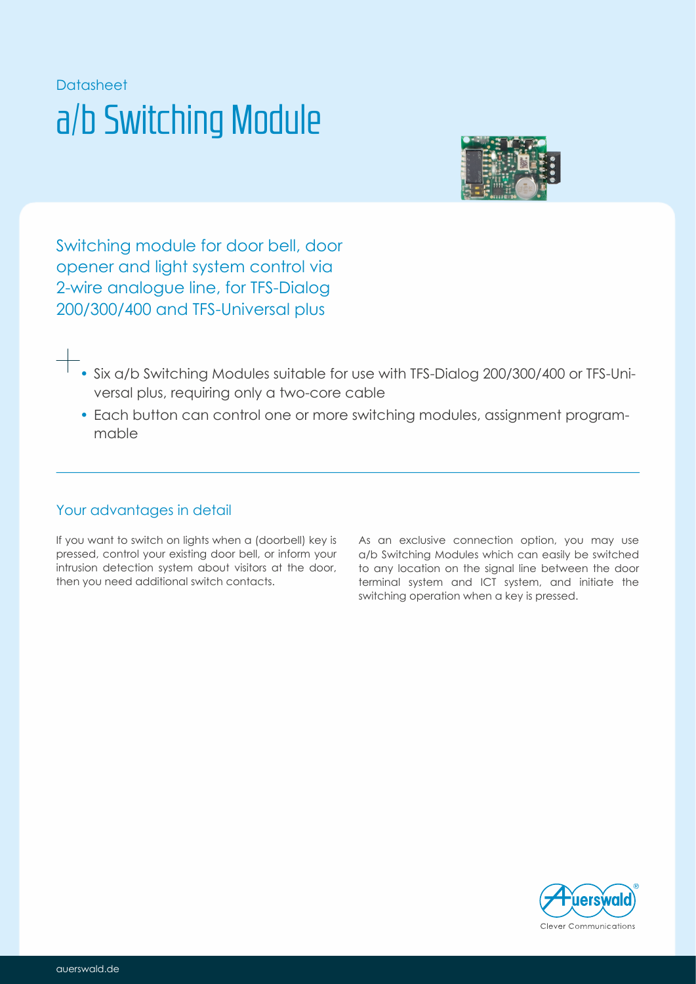# Datasheet a/b Switching Module



Switching module for door bell, door opener and light system control via 2-wire analogue line, for TFS-Dialog 200/300/400 and TFS-Universal plus

- Six a/b Switching Modules suitable for use with TFS-Dialog 200/300/400 or TFS-Universal plus, requiring only a two-core cable
- Each button can control one or more switching modules, assignment programmable

### Your advantages in detail

If you want to switch on lights when a (doorbell) key is pressed, control your existing door bell, or inform your intrusion detection system about visitors at the door, then you need additional switch contacts.

As an exclusive connection option, you may use a/b Switching Modules which can easily be switched to any location on the signal line between the door terminal system and ICT system, and initiate the switching operation when a key is pressed.